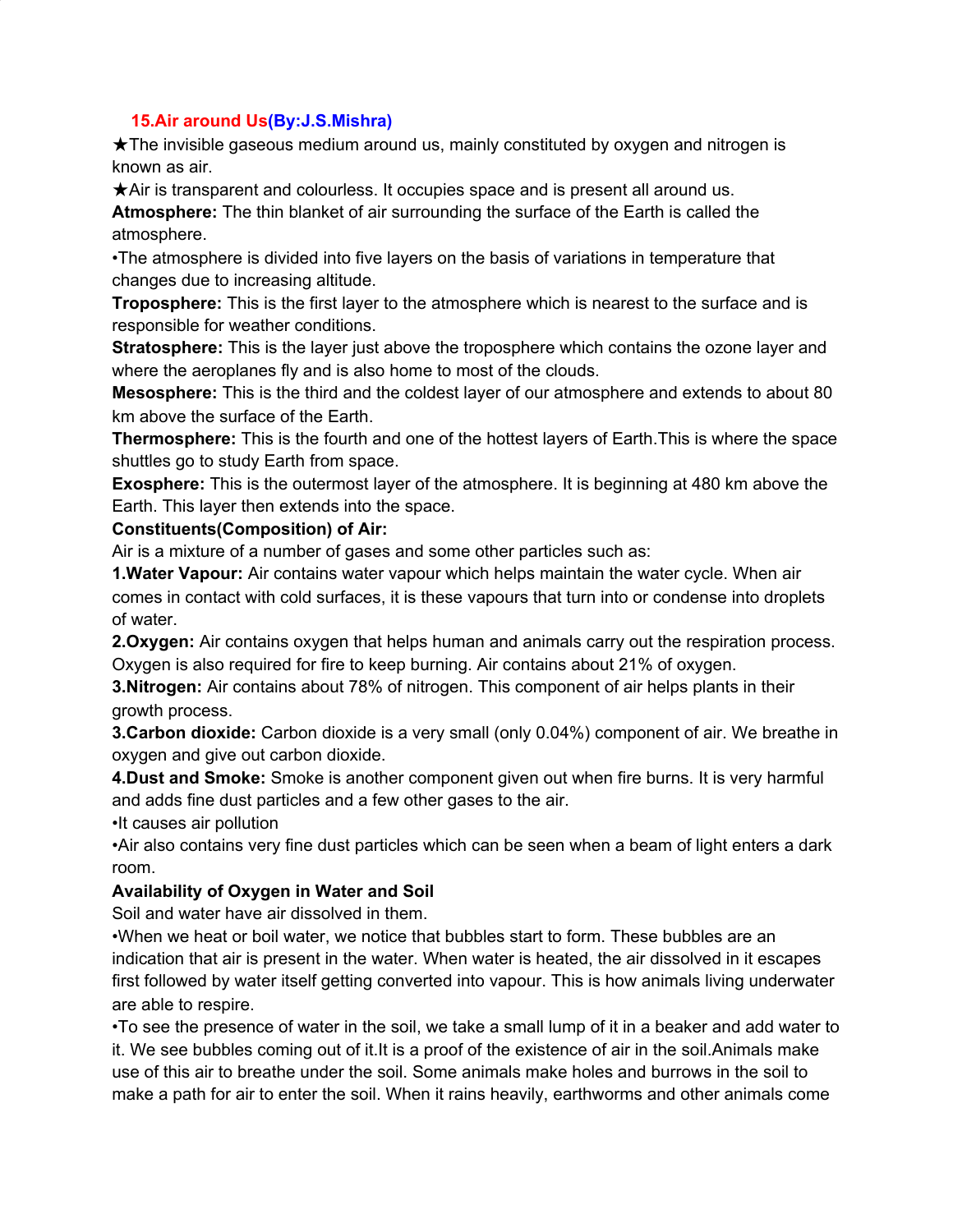#### **15.Air around Us(By:J.S.Mishra)**

★The invisible gaseous medium around us, mainly constituted by oxygen and nitrogen is known as air.

★Air is transparent and colourless. It occupies space and is present all around us.

**Atmosphere:** The thin blanket of air surrounding the surface of the Earth is called the atmosphere.

•The atmosphere is divided into five layers on the basis of variations in temperature that changes due to increasing altitude.

**Troposphere:** This is the first layer to the atmosphere which is nearest to the surface and is responsible for weather conditions.

**Stratosphere:** This is the layer just above the troposphere which contains the ozone layer and where the aeroplanes fly and is also home to most of the clouds.

**Mesosphere:** This is the third and the coldest layer of our atmosphere and extends to about 80 km above the surface of the Earth.

**Thermosphere:** This is the fourth and one of the hottest layers of Earth.This is where the space shuttles go to study Earth from space.

**Exosphere:** This is the outermost layer of the atmosphere. It is beginning at 480 km above the Earth. This layer then extends into the space.

#### **Constituents(Composition) of Air:**

Air is a mixture of a number of gases and some other particles such as:

**1.Water Vapour:** Air contains water vapour which helps maintain the water cycle. When air comes in contact with cold surfaces, it is these vapours that turn into or condense into droplets of water.

**2.Oxygen:** Air contains oxygen that helps human and animals carry out the respiration process. Oxygen is also required for fire to keep burning. Air contains about 21% of oxygen.

**3.Nitrogen:** Air contains about 78% of nitrogen. This component of air helps plants in their growth process.

**3.Carbon dioxide:** Carbon dioxide is a very small (only 0.04%) component of air. We breathe in oxygen and give out carbon dioxide.

**4.Dust and Smoke:** Smoke is another component given out when fire burns. It is very harmful and adds fine dust particles and a few other gases to the air.

•It causes air pollution

•Air also contains very fine dust particles which can be seen when a beam of light enters a dark room.

### **Availability of Oxygen in Water and Soil**

Soil and water have air dissolved in them.

•When we heat or boil water, we notice that bubbles start to form. These bubbles are an indication that air is present in the water. When water is heated, the air dissolved in it escapes first followed by water itself getting converted into vapour. This is how animals living underwater are able to respire.

•To see the presence of water in the soil, we take a small lump of it in a beaker and add water to it. We see bubbles coming out of it.It is a proof of the existence of air in the soil.Animals make use of this air to breathe under the soil. Some animals make holes and burrows in the soil to make a path for air to enter the soil. When it rains heavily, earthworms and other animals come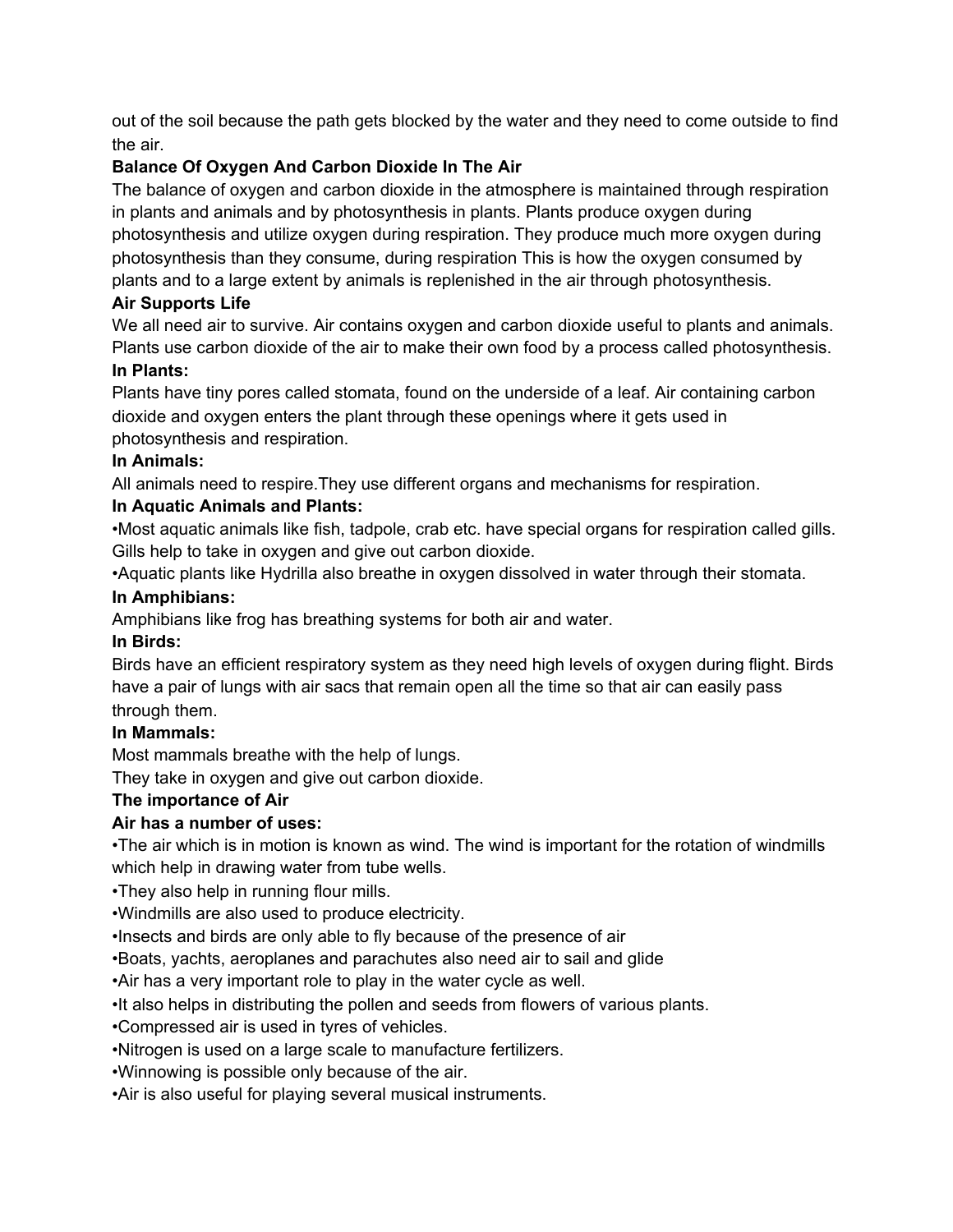out of the soil because the path gets blocked by the water and they need to come outside to find the air.

# **Balance Of Oxygen And Carbon Dioxide In The Air**

The balance of oxygen and carbon dioxide in the atmosphere is maintained through respiration in plants and animals and by photosynthesis in plants. Plants produce oxygen during photosynthesis and utilize oxygen during respiration. They produce much more oxygen during photosynthesis than they consume, during respiration This is how the oxygen consumed by plants and to a large extent by animals is replenished in the air through photosynthesis.

# **Air Supports Life**

We all need air to survive. Air contains oxygen and carbon dioxide useful to plants and animals. Plants use carbon dioxide of the air to make their own food by a process called photosynthesis.

### **In Plants:**

Plants have tiny pores called stomata, found on the underside of a leaf. Air containing carbon dioxide and oxygen enters the plant through these openings where it gets used in photosynthesis and respiration.

### **In Animals:**

All animals need to respire.They use different organs and mechanisms for respiration.

# **In Aquatic Animals and Plants:**

•Most aquatic animals like fish, tadpole, crab etc. have special organs for respiration called gills. Gills help to take in oxygen and give out carbon dioxide.

•Aquatic plants like Hydrilla also breathe in oxygen dissolved in water through their stomata.

### **In Amphibians:**

Amphibians like frog has breathing systems for both air and water.

# **In Birds:**

Birds have an efficient respiratory system as they need high levels of oxygen during flight. Birds have a pair of lungs with air sacs that remain open all the time so that air can easily pass through them.

# **In Mammals:**

Most mammals breathe with the help of lungs.

They take in oxygen and give out carbon dioxide.

# **The importance of Air**

# **Air has a number of uses:**

•The air which is in motion is known as wind. The wind is important for the rotation of windmills which help in drawing water from tube wells.

•They also help in running flour mills.

•Windmills are also used to produce electricity.

•Insects and birds are only able to fly because of the presence of air

•Boats, yachts, aeroplanes and parachutes also need air to sail and glide

•Air has a very important role to play in the water cycle as well.

•It also helps in distributing the pollen and seeds from flowers of various plants.

•Compressed air is used in tyres of vehicles.

•Nitrogen is used on a large scale to manufacture fertilizers.

•Winnowing is possible only because of the air.

•Air is also useful for playing several musical instruments.